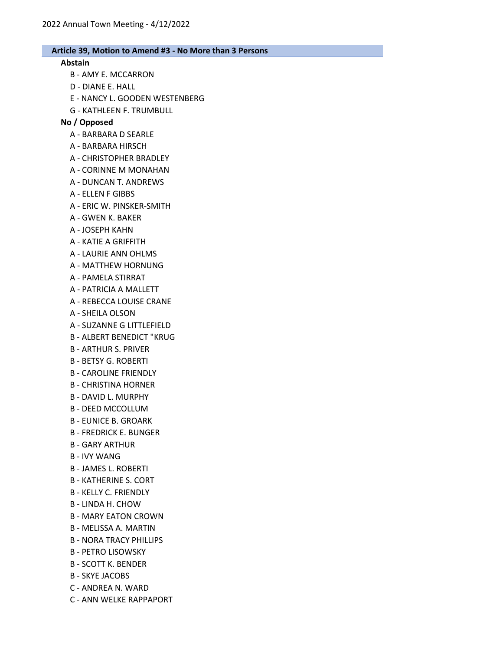#### Abstain

- B AMY E. MCCARRON
- D DIANE E. HALL
- E NANCY L. GOODEN WESTENBERG
- G KATHLEEN F. TRUMBULL

### No / Opposed

- A BARBARA D SEARLE
- A BARBARA HIRSCH
- A CHRISTOPHER BRADLEY
- A CORINNE M MONAHAN
- A DUNCAN T. ANDREWS
- A ELLEN F GIBBS
- A ERIC W. PINSKER-SMITH
- A GWEN K. BAKER
- A JOSEPH KAHN
- A KATIE A GRIFFITH
- A LAURIE ANN OHLMS
- A MATTHEW HORNUNG
- A PAMELA STIRRAT
- A PATRICIA A MALLETT
- A REBECCA LOUISE CRANE
- A SHEILA OLSON
- A SUZANNE G LITTLEFIELD
- B ALBERT BENEDICT "KRUG
- B ARTHUR S. PRIVER
- B BETSY G. ROBERTI
- B CAROLINE FRIENDLY
- B CHRISTINA HORNER
- B DAVID L. MURPHY
- B DEED MCCOLLUM
- B EUNICE B. GROARK
- B FREDRICK E. BUNGER
- B GARY ARTHUR
- B IVY WANG
- B JAMES L. ROBERTI
- B KATHERINE S. CORT
- B KELLY C. FRIENDLY
- B LINDA H. CHOW
- B MARY EATON CROWN
- B MELISSA A. MARTIN
- B NORA TRACY PHILLIPS
- B PETRO LISOWSKY
- B SCOTT K. BENDER
- B SKYE JACOBS
- C ANDREA N. WARD
- C ANN WELKE RAPPAPORT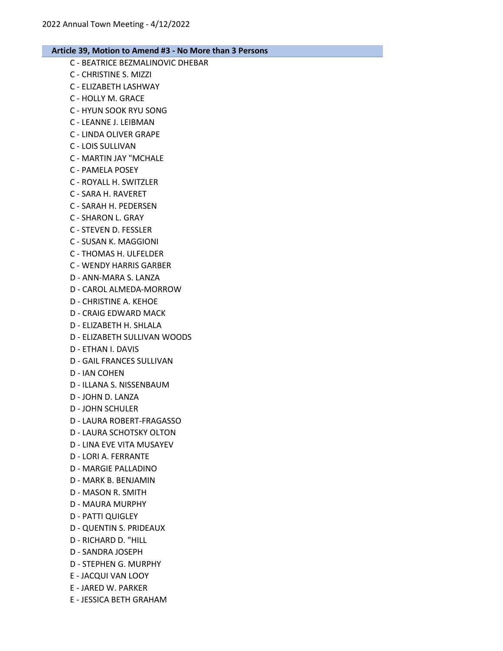- C BEATRICE BEZMALINOVIC DHEBAR C - CHRISTINE S. MIZZI C - ELIZABETH LASHWAY C - HOLLY M. GRACE C - HYUN SOOK RYU SONG
- C LEANNE J. LEIBMAN
- C LINDA OLIVER GRAPE
- C LOIS SULLIVAN
- C MARTIN JAY "MCHALE
- C PAMELA POSEY
- C ROYALL H. SWITZLER
- C SARA H. RAVERET
- C SARAH H. PEDERSEN
- C SHARON L. GRAY
- C STEVEN D. FESSLER
- C SUSAN K. MAGGIONI
- C THOMAS H. ULFELDER
- C WENDY HARRIS GARBER
- D ANN-MARA S. LANZA
- D CAROL ALMEDA-MORROW
- D CHRISTINE A. KEHOE
- D CRAIG EDWARD MACK
- D ELIZABETH H. SHLALA
- D ELIZABETH SULLIVAN WOODS
- D ETHAN I. DAVIS
- D GAIL FRANCES SULLIVAN
- D IAN COHEN
- D ILLANA S. NISSENBAUM
- D JOHN D. LANZA
- D JOHN SCHULER
- D LAURA ROBERT-FRAGASSO
- D LAURA SCHOTSKY OLTON
- D LINA EVE VITA MUSAYEV
- D LORI A. FERRANTE
- D MARGIE PALLADINO
- D MARK B. BENJAMIN
- D MASON R. SMITH
- D MAURA MURPHY
- D PATTI QUIGLEY
- D QUENTIN S. PRIDEAUX
- D RICHARD D. "HILL
- D SANDRA JOSEPH
- D STEPHEN G. MURPHY
- E JACQUI VAN LOOY
- E JARED W. PARKER
- E JESSICA BETH GRAHAM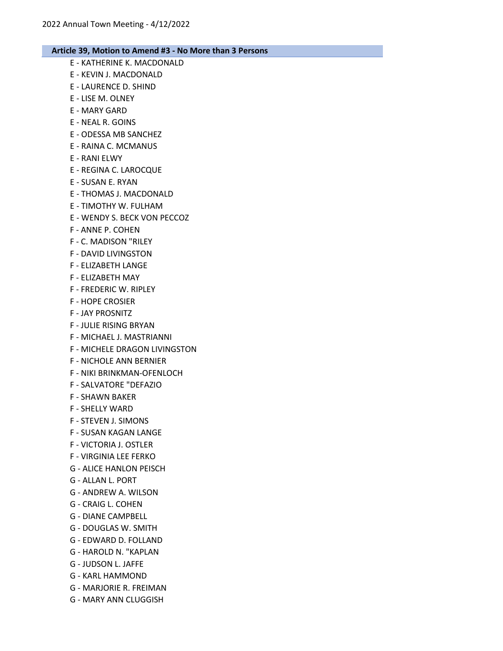E - KATHERINE K. MACDONALD E - KEVIN J. MACDONALD E - LAURENCE D. SHIND E - LISE M. OLNEY E - MARY GARD E - NEAL R. GOINS E - ODESSA MB SANCHEZ E - RAINA C. MCMANUS E - RANI ELWY E - REGINA C. LAROCQUE E - SUSAN E. RYAN E - THOMAS J. MACDONALD E - TIMOTHY W. FULHAM E - WENDY S. BECK VON PECCOZ F - ANNE P. COHEN F - C. MADISON "RILEY F - DAVID LIVINGSTON F - ELIZABETH LANGE F - ELIZABETH MAY F - FREDERIC W. RIPLEY F - HOPE CROSIER F - JAY PROSNITZ F - JULIE RISING BRYAN F - MICHAEL J. MASTRIANNI F - MICHELE DRAGON LIVINGSTON F - NICHOLE ANN BERNIER F - NIKI BRINKMAN-OFENLOCH F - SALVATORE "DEFAZIO F - SHAWN BAKER F - SHELLY WARD F - STEVEN J. SIMONS F - SUSAN KAGAN LANGE F - VICTORIA J. OSTLER F - VIRGINIA LEE FERKO G - ALICE HANLON PEISCH G - ALLAN L. PORT G - ANDREW A. WILSON G - CRAIG L. COHEN G - DIANE CAMPBELL G - DOUGLAS W. SMITH G - EDWARD D. FOLLAND G - HAROLD N. "KAPLAN G - JUDSON L. JAFFE G - KARL HAMMOND G - MARJORIE R. FREIMAN G - MARY ANN CLUGGISH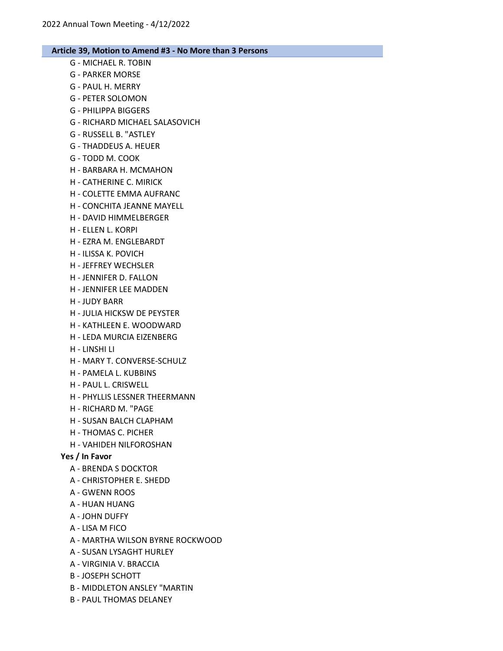- G MICHAEL R. TOBIN
- G PARKER MORSE
- G PAUL H. MERRY
- G PETER SOLOMON
- G PHILIPPA BIGGERS
- G RICHARD MICHAEL SALASOVICH
- G RUSSELL B. "ASTLEY
- G THADDEUS A. HEUER
- G TODD M. COOK
- H BARBARA H. MCMAHON
- H CATHERINE C. MIRICK
- H COLETTE EMMA AUFRANC
- H CONCHITA JEANNE MAYELL
- H DAVID HIMMELBERGER
- H ELLEN L. KORPI
- H EZRA M. ENGLEBARDT
- H ILISSA K. POVICH
- H JEFFREY WECHSLER
- H JENNIFER D. FALLON
- H JENNIFER LEE MADDEN
- H JUDY BARR
- H JULIA HICKSW DE PEYSTER
- H KATHLEEN E. WOODWARD
- H LEDA MURCIA EIZENBERG
- H LINSHI LI
- H MARY T. CONVERSE-SCHULZ
- H PAMELA L. KUBBINS
- H PAUL L. CRISWELL
- H PHYLLIS LESSNER THEERMANN
- H RICHARD M. "PAGE
- H SUSAN BALCH CLAPHAM
- H THOMAS C. PICHER
- H VAHIDEH NILFOROSHAN

# Yes / In Favor

- A BRENDA S DOCKTOR
- A CHRISTOPHER E. SHEDD
- A GWENN ROOS
- A HUAN HUANG
- A JOHN DUFFY
- A LISA M FICO
- A MARTHA WILSON BYRNE ROCKWOOD
- A SUSAN LYSAGHT HURLEY
- A VIRGINIA V. BRACCIA
- B JOSEPH SCHOTT
- B MIDDLETON ANSLEY "MARTIN
- B PAUL THOMAS DELANEY